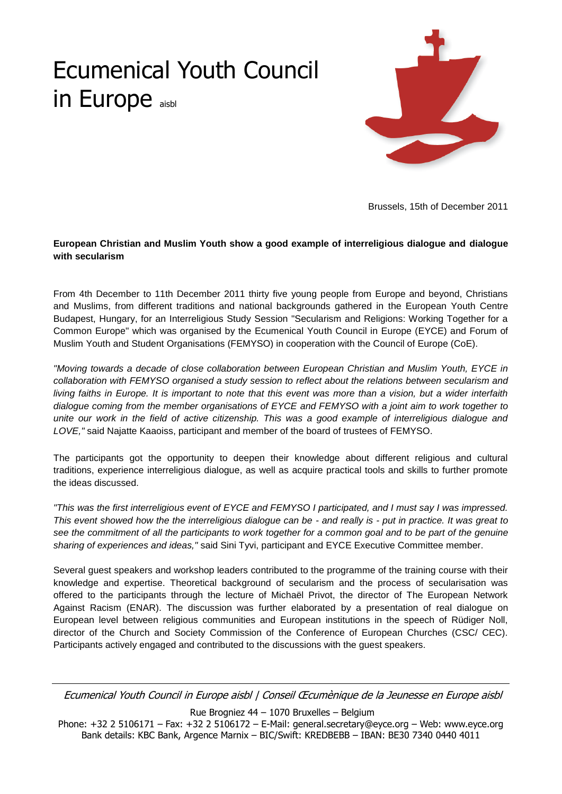## Ecumenical Youth Council in Europe aisbl



Brussels, 15th of December 2011

## **European Christian and Muslim Youth show a good example of interreligious dialogue and dialogue with secularism**

From 4th December to 11th December 2011 thirty five young people from Europe and beyond, Christians and Muslims, from different traditions and national backgrounds gathered in the European Youth Centre Budapest, Hungary, for an Interreligious Study Session "Secularism and Religions: Working Together for a Common Europe" which was organised by the Ecumenical Youth Council in Europe (EYCE) and Forum of Muslim Youth and Student Organisations (FEMYSO) in cooperation with the Council of Europe (CoE).

*"Moving towards a decade of close collaboration between European Christian and Muslim Youth, EYCE in collaboration with FEMYSO organised a study session to reflect about the relations between secularism and living faiths in Europe. It is important to note that this event was more than a vision, but a wider interfaith dialogue coming from the member organisations of EYCE and FEMYSO with a joint aim to work together to unite our work in the field of active citizenship. This was a good example of interreligious dialogue and LOVE,"* said Najatte Kaaoiss, participant and member of the board of trustees of FEMYSO.

The participants got the opportunity to deepen their knowledge about different religious and cultural traditions, experience interreligious dialogue, as well as acquire practical tools and skills to further promote the ideas discussed.

*"This was the first interreligious event of EYCE and FEMYSO I participated, and I must say I was impressed. This event showed how the the interreligious dialogue can be - and really is - put in practice. It was great to*  see the commitment of all the participants to work together for a common goal and to be part of the genuine *sharing of experiences and ideas,"* said Sini Tyvi, participant and EYCE Executive Committee member.

Several guest speakers and workshop leaders contributed to the programme of the training course with their knowledge and expertise. Theoretical background of secularism and the process of secularisation was offered to the participants through the lecture of Michaël Privot, the director of The European Network Against Racism (ENAR). The discussion was further elaborated by a presentation of real dialogue on European level between religious communities and European institutions in the speech of Rüdiger Noll, director of the Church and Society Commission of the Conference of European Churches (CSC/ CEC). Participants actively engaged and contributed to the discussions with the guest speakers.

Ecumenical Youth Council in Europe aisbl | Conseil Œcumènique de la Jeunesse en Europe aisbl

Rue Brogniez 44 – 1070 Bruxelles – Belgium

Phone: +32 2 5106171 – Fax: +32 2 5106172 – E-Mail: general.secretary@eyce.org – Web: www.eyce.org Bank details: KBC Bank, Argence Marnix – BIC/Swift: KREDBEBB – IBAN: BE30 7340 0440 4011